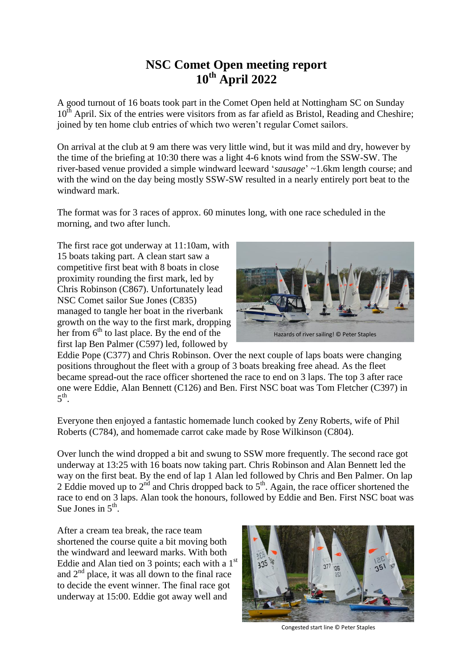## **NSC Comet Open meeting report 10th April 2022**

A good turnout of 16 boats took part in the Comet Open held at Nottingham SC on Sunday  $10^{th}$  April. Six of the entries were visitors from as far afield as Bristol, Reading and Cheshire; joined by ten home club entries of which two weren't regular Comet sailors.

On arrival at the club at 9 am there was very little wind, but it was mild and dry, however by the time of the briefing at 10:30 there was a light 4-6 knots wind from the SSW-SW. The river-based venue provided a simple windward leeward '*sausage*' ~1.6km length course; and with the wind on the day being mostly SSW-SW resulted in a nearly entirely port beat to the windward mark.

The format was for 3 races of approx. 60 minutes long, with one race scheduled in the morning, and two after lunch.

The first race got underway at 11:10am, with 15 boats taking part. A clean start saw a competitive first beat with 8 boats in close proximity rounding the first mark, led by Chris Robinson (C867). Unfortunately lead NSC Comet sailor Sue Jones (C835) managed to tangle her boat in the riverbank growth on the way to the first mark, dropping her from  $6<sup>th</sup>$  to last place. By the end of the first lap Ben Palmer (C597) led, followed by



Eddie Pope (C377) and Chris Robinson. Over the next couple of laps boats were changing positions throughout the fleet with a group of 3 boats breaking free ahead. As the fleet became spread-out the race officer shortened the race to end on 3 laps. The top 3 after race one were Eddie, Alan Bennett (C126) and Ben. First NSC boat was Tom Fletcher (C397) in  $5^{\text{th}}$ .

Everyone then enjoyed a fantastic homemade lunch cooked by Zeny Roberts, wife of Phil Roberts (C784), and homemade carrot cake made by Rose Wilkinson (C804).

Over lunch the wind dropped a bit and swung to SSW more frequently. The second race got underway at 13:25 with 16 boats now taking part. Chris Robinson and Alan Bennett led the way on the first beat. By the end of lap 1 Alan led followed by Chris and Ben Palmer. On lap 2 Eddie moved up to  $2<sup>nd</sup>$  and Chris dropped back to  $5<sup>th</sup>$ . Again, the race officer shortened the race to end on 3 laps. Alan took the honours, followed by Eddie and Ben. First NSC boat was Sue Jones in  $5<sup>th</sup>$ .

After a cream tea break, the race team shortened the course quite a bit moving both the windward and leeward marks. With both Eddie and Alan tied on 3 points; each with a  $1<sup>st</sup>$ and  $2<sup>nd</sup>$  place, it was all down to the final race to decide the event winner. The final race got underway at 15:00. Eddie got away well and



Congested start line © Peter Staples